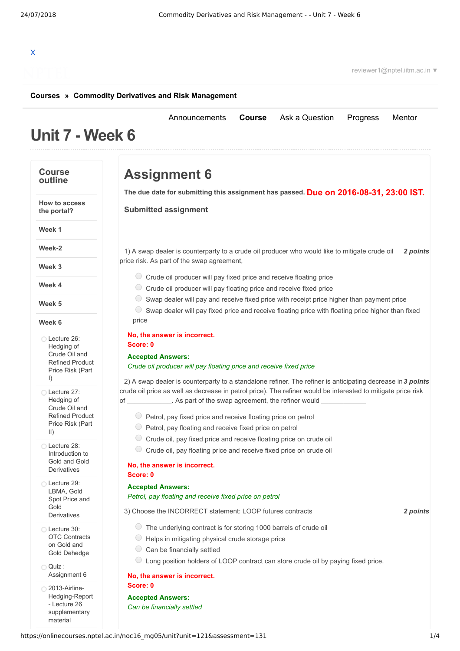# X

reviewer1@nptel.iitm.ac.in ▼

#### **[Courses](https://onlinecourses.nptel.ac.in/) » [Commodity Derivatives and Risk Management](https://onlinecourses.nptel.ac.in/noc16_mg05/course)**

## **Unit 7 - Week 6**

#### **Course outline**

**Week 1**

**Week-2**

**Week 3**

**Week 4**

**Week 5**

**Week 6**

I)

II)

Lecture 26: [Hedging](https://onlinecourses.nptel.ac.in/noc16_mg05/unit?unit=121&lesson=122) of Crude Oil and Refined Product Price Risk (Part

Lecture 27: [Hedging](https://onlinecourses.nptel.ac.in/noc16_mg05/unit?unit=121&lesson=123) of Crude Oil and Refined Product Price Risk (Part

Lecture 28: [Introduction](https://onlinecourses.nptel.ac.in/noc16_mg05/unit?unit=121&lesson=124) to Gold and Gold Derivatives Lecture 29: LBMA, Gold Spot Price and

Gold **[Derivatives](https://onlinecourses.nptel.ac.in/noc16_mg05/unit?unit=121&lesson=125)** Lecture 30: OTC [Contracts](https://onlinecourses.nptel.ac.in/noc16_mg05/unit?unit=121&lesson=126) on Gold and Gold Dehedge

Quiz :

[Assignment](https://onlinecourses.nptel.ac.in/noc16_mg05/assessment?name=131) 6 2013-Airline-[Hedging-Report](https://onlinecourses.nptel.ac.in/noc16_mg05/link?unit=132) - Lecture 26 supplementary material

**How to access the portal?**

**Assignment 6**

**Due on 2016-08-31, 23:00 IST. The due date for submitting this assignment has passed.**

[Announcements](https://onlinecourses.nptel.ac.in/noc16_mg05/announcements) **[Course](https://onlinecourses.nptel.ac.in/noc16_mg05/course)** [Ask a Question](https://onlinecourses.nptel.ac.in/noc16_mg05/forum) [Progress](https://onlinecourses.nptel.ac.in/noc16_mg05/student/home) [Mentor](https://onlinecourses.nptel.ac.in/noc16_mg05/student/mentor)

**Submitted assignment**

1) *2 points* A swap dealer is counterparty to a crude oil producer who would like to mitigate crude oil price risk. As part of the swap agreement,

- $\circ$  Crude oil producer will pay fixed price and receive floating price
- $\circ$  Crude oil producer will pay floating price and receive fixed price
- $\circ$  Swap dealer will pay and receive fixed price with receipt price higher than payment price

 $\circ$  Swap dealer will pay fixed price and receive floating price with floating price higher than fixed price

#### **No, the answer is incorrect.**

**Score: 0**

#### **Accepted Answers:** *Crude oil producer will pay floating price and receive fixed price*

2) A swap dealer is counterparty to a standalone refiner. The refiner is anticipating decrease in 3 points crude oil price as well as decrease in petrol price). The refiner would be interested to mitigate price risk of \_\_\_\_\_\_\_\_\_\_\_\_\_\_. As part of the swap agreement, the refiner would

- $\circ$  Petrol, pay fixed price and receive floating price on petrol
- $\circ$  Petrol, pay floating and receive fixed price on petrol
- Crude oil, pay fixed price and receive floating price on crude oil
- $\circ$  Crude oil, pay floating price and receive fixed price on crude oil

#### **No, the answer is incorrect.**

**Score: 0 Accepted Answers:**

#### *Petrol, pay floating and receive fixed price on petrol*

3) *2 points* Choose the INCORRECT statement: LOOP futures contracts

- The underlying contract is for storing 1000 barrels of crude oil
- $\bigcirc$  Helps in mitigating physical crude storage price
- $\circ$  Can be financially settled
- Long position holders of LOOP contract can store crude oil by paying fixed price.

#### **No, the answer is incorrect.**

**Score: 0**

**Accepted Answers:** *Can be financially settled*

#### https://onlinecourses.nptel.ac.in/noc16\_mg05/unit?unit=121&assessment=131 1/4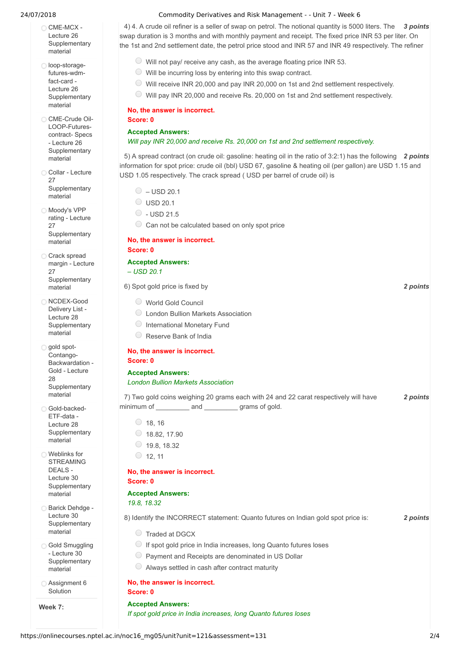- $\bigcirc$  CME-MCX -Lecture 26 **[Supplementary](https://onlinecourses.nptel.ac.in/noc16_mg05/link?unit=133)** material
- loop-storagefutures-wdmfact-card - Lecture 26 **[Supplementary](https://onlinecourses.nptel.ac.in/noc16_mg05/link?unit=134)** material
- CME-Crude Oil-[LOOP-Futures](https://onlinecourses.nptel.ac.in/noc16_mg05/link?unit=135)contract- Specs - Lecture 26 **Supplementary** material
- Collar Lecture 27 **[Supplementary](https://onlinecourses.nptel.ac.in/noc16_mg05/link?unit=136)** material
- Moody's VPP rating - Lecture 27 **[Supplementary](https://onlinecourses.nptel.ac.in/noc16_mg05/link?unit=137)** material
- Crack spread margin - Lecture 27 **[Supplementary](https://onlinecourses.nptel.ac.in/noc16_mg05/link?unit=138)** material
- O NCDEX-Good Delivery List - Lecture 28 **[Supplementary](https://onlinecourses.nptel.ac.in/noc16_mg05/link?unit=139)** material
- gold spot-Contango-Backwardation - Gold - Lecture 28 **[Supplementary](https://onlinecourses.nptel.ac.in/noc16_mg05/link?unit=140)** material
- Gold-backed-ETF-data - Lecture 28 **[Supplementary](https://onlinecourses.nptel.ac.in/noc16_mg05/link?unit=141)** material
- Weblinks for STREAMING DEALS - Lecture 30 **[Supplementary](https://onlinecourses.nptel.ac.in/noc16_mg05/link?unit=142)** material
- Barick Dehdge Lecture 30 **[Supplementary](https://onlinecourses.nptel.ac.in/noc16_mg05/link?unit=143)** material
- **Gold Smuggling** - Lecture 30 **[Supplementary](https://onlinecourses.nptel.ac.in/noc16_mg05/link?unit=144)** material
- [Assignment](https://onlinecourses.nptel.ac.in/noc16_mg05/link?unit=168) 6 Solution

**Week 7:**

#### 24/07/2018 Commodity Derivatives and Risk Management - - Unit 7 - Week 6

4) 4. A crude oil refiner is a seller of swap on petrol. The notional quantity is 5000 liters. The 3 *points* swap duration is 3 months and with monthly payment and receipt. The fixed price INR 53 per liter. On the 1st and 2nd settlement date, the petrol price stood and INR 57 and INR 49 respectively. The refiner

- $\circ$  Will not pay/ receive any cash, as the average floating price INR 53.
- $\circledcirc$  Will be incurring loss by entering into this swap contract.
- Will receive INR 20,000 and pay INR 20,000 on 1st and 2nd settlement respectively.
- Will pay INR 20,000 and receive Rs. 20,000 on 1st and 2nd settlement respectively.

#### **No, the answer is incorrect.**

#### **Accepted Answers:**

**Score: 0**

#### *Will pay INR 20,000 and receive Rs. 20,000 on 1st and 2nd settlement respectively.*

5) A spread contract (on crude oil: gasoline: heating oil in the ratio of 3:2:1) has the following 2 *points* information for spot price: crude oil (bbl) USD 67, gasoline & heating oil (per gallon) are USD 1.15 and USD 1.05 respectively. The crack spread ( USD per barrel of crude oil) is

- $\circ$  USD 20.1
- $\circ$  USD 20.1
- $\circ$  USD 21.5
- $\circledcirc$  Can not be calculated based on only spot price

#### **No, the answer is incorrect. Score: 0**

#### **Accepted Answers:**

*– USD 20.1*

#### 6) *2 points* Spot gold price is fixed by

- World Gold Council
- London Bullion Markets Association
- O International Monetary Fund
- Reserve Bank of India

#### **No, the answer is incorrect. Score: 0**

## **Accepted Answers:**

#### *London Bullion Markets Association*

|            |     | 7) Two gold coins weighing 20 grams each with 24 and 22 carat respectively will have | 2 points |
|------------|-----|--------------------------------------------------------------------------------------|----------|
| minimum of | and | grams of gold.                                                                       |          |

| 18, 16 |  |
|--------|--|
|        |  |

- $\circ$  18.82, 17.90
- $\circ$  19.8, 18.32
- $\circ$  12, 11

#### **No, the answer is incorrect. Score: 0**

#### **Accepted Answers:**

*19.8, 18.32*

8) *2 points* Identify the INCORRECT statement: Quanto futures on Indian gold spot price is:

- Traded at DGCX
- $\bigcirc$  If spot gold price in India increases, long Quanto futures loses
- $\bigcirc$  Payment and Receipts are denominated in US Dollar
- Always settled in cash after contract maturity

#### **No, the answer is incorrect.**

#### **Score: 0**

#### **Accepted Answers:** *If spot gold price in India increases, long Quanto futures loses*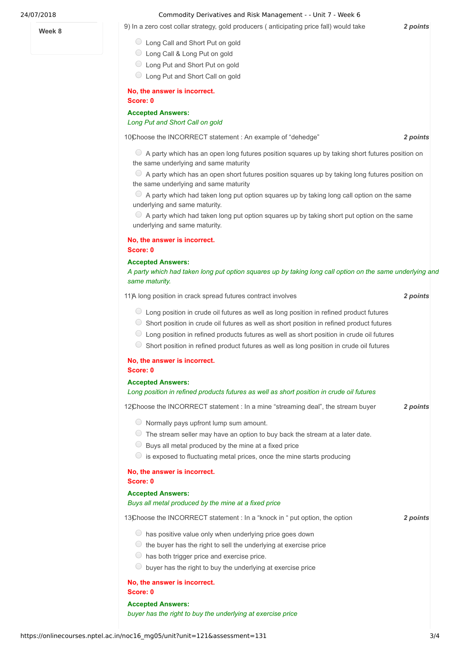#### **Week 8**

#### 24/07/2018 Commodity Derivatives and Risk Management - - Unit 7 - Week 6

9) *2 points* In a zero cost collar strategy, gold producers ( anticipating price fall) would take

- Long Call and Short Put on gold
- ◯ Long Call & Long Put on gold
- Long Put and Short Put on gold
- Long Put and Short Call on gold

#### **No, the answer is incorrect.**

#### **Score: 0**

**Accepted Answers:**

*Long Put and Short Call on gold*

10) **2** *points* 2 *points* 

 $\circ$  A party which has an open long futures position squares up by taking short futures position on the same underlying and same maturity

 $\bullet$  A party which has an open short futures position squares up by taking long futures position on the same underlying and same maturity

 $\circledcirc$  A party which had taken long put option squares up by taking long call option on the same underlying and same maturity.

 $\circ$  A party which had taken long put option squares up by taking short put option on the same underlying and same maturity.

### **No, the answer is incorrect.**

#### **Score: 0**

#### **Accepted Answers:**

A party which had taken long put option squares up by taking long call option on the same underlying and *same maturity.*

11) *2 points* A long position in crack spread futures contract involves

- $\circ$  Long position in crude oil futures as well as long position in refined product futures
- $\circ$  Short position in crude oil futures as well as short position in refined product futures
- Long position in refined products futures as well as short position in crude oil futures
- Short position in refined product futures as well as long position in crude oil futures

#### **No, the answer is incorrect. Score: 0**

#### **Accepted Answers:**

#### *Long position in refined products futures as well as short position in crude oil futures*

12) Choose the INCORRECT statement : In a mine "streaming deal", the stream buyer **2 points** 

 $\circlearrowright$  Normally pays upfront lump sum amount.

- $\circ$  The stream seller may have an option to buy back the stream at a later date.
- $\bigcirc$  Buys all metal produced by the mine at a fixed price
- $\circ$  is exposed to fluctuating metal prices, once the mine starts producing

#### **No, the answer is incorrect. Score: 0**

#### **Accepted Answers:**

#### *Buys all metal produced by the mine at a fixed price*

13) **2** *points* **2** *points* 

 $\bigcirc$  has positive value only when underlying price goes down

- $\circlearrowright$  the buyer has the right to sell the underlying at exercise price
- $\circ$  has both trigger price and exercise price.
- $\circledcirc$  buyer has the right to buy the underlying at exercise price

#### **No, the answer is incorrect.**

**Score: 0**

**Accepted Answers:** *buyer has the right to buy the underlying at exercise price*